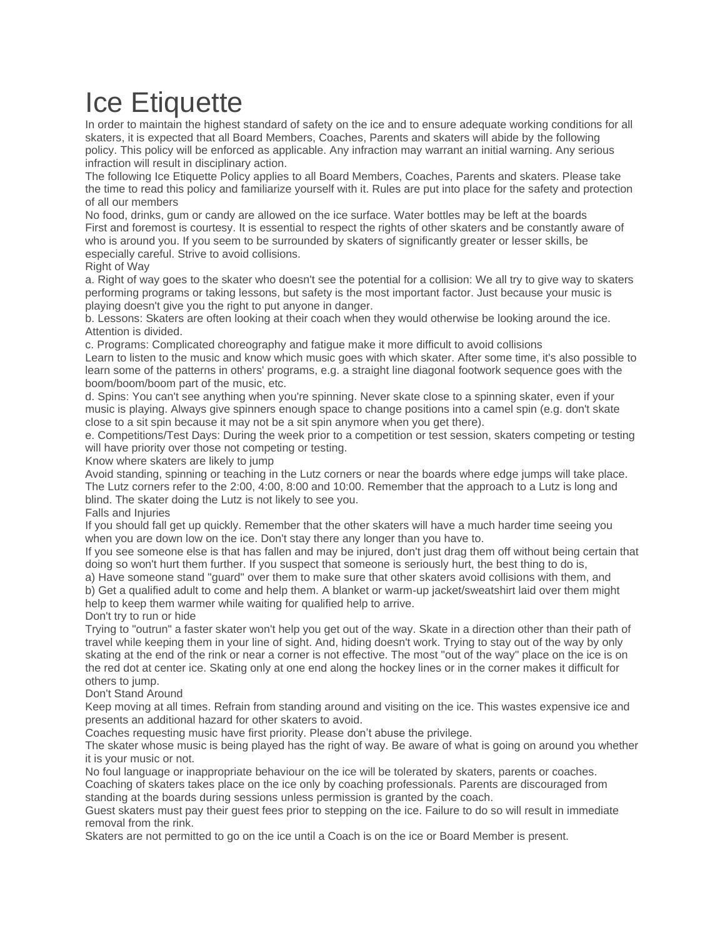## Ice Etiquette

In order to maintain the highest standard of safety on the ice and to ensure adequate working conditions for all skaters, it is expected that all Board Members, Coaches, Parents and skaters will abide by the following policy. This policy will be enforced as applicable. Any infraction may warrant an initial warning. Any serious infraction will result in disciplinary action.

The following Ice Etiquette Policy applies to all Board Members, Coaches, Parents and skaters. Please take the time to read this policy and familiarize yourself with it. Rules are put into place for the safety and protection of all our members

No food, drinks, gum or candy are allowed on the ice surface. Water bottles may be left at the boards First and foremost is courtesy. It is essential to respect the rights of other skaters and be constantly aware of who is around you. If you seem to be surrounded by skaters of significantly greater or lesser skills, be especially careful. Strive to avoid collisions.

## Right of Way

a. Right of way goes to the skater who doesn't see the potential for a collision: We all try to give way to skaters performing programs or taking lessons, but safety is the most important factor. Just because your music is playing doesn't give you the right to put anyone in danger.

b. Lessons: Skaters are often looking at their coach when they would otherwise be looking around the ice. Attention is divided.

c. Programs: Complicated choreography and fatigue make it more difficult to avoid collisions

Learn to listen to the music and know which music goes with which skater. After some time, it's also possible to learn some of the patterns in others' programs, e.g. a straight line diagonal footwork sequence goes with the boom/boom/boom part of the music, etc.

d. Spins: You can't see anything when you're spinning. Never skate close to a spinning skater, even if your music is playing. Always give spinners enough space to change positions into a camel spin (e.g. don't skate close to a sit spin because it may not be a sit spin anymore when you get there).

e. Competitions/Test Days: During the week prior to a competition or test session, skaters competing or testing will have priority over those not competing or testing.

Know where skaters are likely to jump

Avoid standing, spinning or teaching in the Lutz corners or near the boards where edge jumps will take place. The Lutz corners refer to the 2:00, 4:00, 8:00 and 10:00. Remember that the approach to a Lutz is long and blind. The skater doing the Lutz is not likely to see you.

## Falls and Injuries

If you should fall get up quickly. Remember that the other skaters will have a much harder time seeing you when you are down low on the ice. Don't stay there any longer than you have to.

If you see someone else is that has fallen and may be injured, don't just drag them off without being certain that doing so won't hurt them further. If you suspect that someone is seriously hurt, the best thing to do is,

a) Have someone stand "guard" over them to make sure that other skaters avoid collisions with them, and b) Get a qualified adult to come and help them. A blanket or warm-up jacket/sweatshirt laid over them might help to keep them warmer while waiting for qualified help to arrive.

Don't try to run or hide

Trying to "outrun" a faster skater won't help you get out of the way. Skate in a direction other than their path of travel while keeping them in your line of sight. And, hiding doesn't work. Trying to stay out of the way by only skating at the end of the rink or near a corner is not effective. The most "out of the way" place on the ice is on the red dot at center ice. Skating only at one end along the hockey lines or in the corner makes it difficult for others to jump.

## Don't Stand Around

Keep moving at all times. Refrain from standing around and visiting on the ice. This wastes expensive ice and presents an additional hazard for other skaters to avoid.

Coaches requesting music have first priority. Please don't abuse the privilege.

The skater whose music is being played has the right of way. Be aware of what is going on around you whether it is your music or not.

No foul language or inappropriate behaviour on the ice will be tolerated by skaters, parents or coaches. Coaching of skaters takes place on the ice only by coaching professionals. Parents are discouraged from

standing at the boards during sessions unless permission is granted by the coach.

Guest skaters must pay their guest fees prior to stepping on the ice. Failure to do so will result in immediate removal from the rink.

Skaters are not permitted to go on the ice until a Coach is on the ice or Board Member is present.